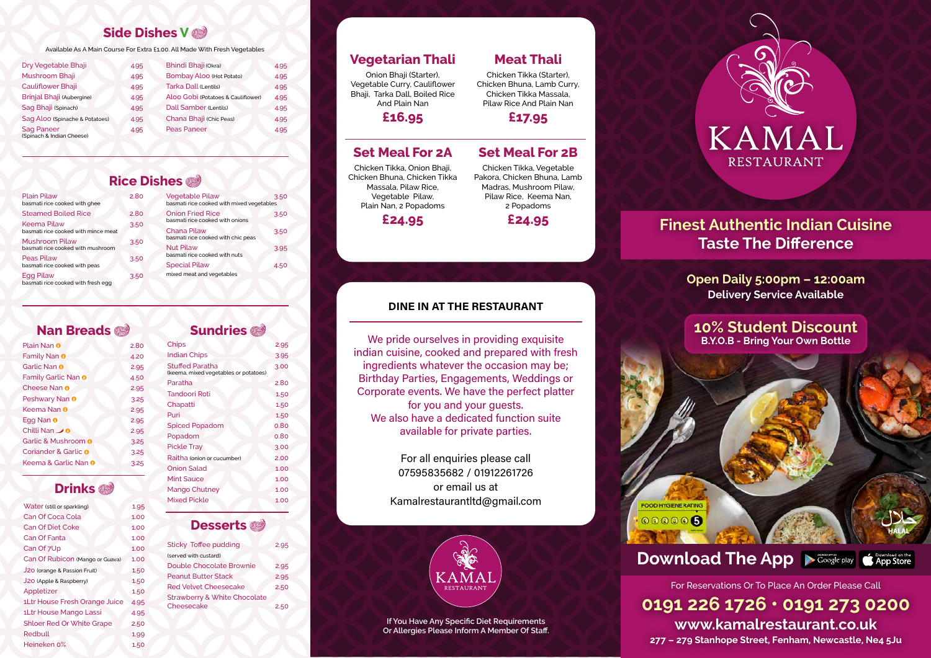## **Nan Breads**

# **Drinks**

### **Sundries**

### **Desserts**

| Dry Vegetable Bhaji                            | 4.95 | <b>Bhindi Bhaji (Okra)</b>         | 4.95 |
|------------------------------------------------|------|------------------------------------|------|
| Mushroom Bhaji                                 | 4.95 | <b>Bombay Aloo (Hot Potato)</b>    | 4.95 |
| <b>Cauliflower Bhaji</b>                       | 4.95 | Tarka Dall (Lentils)               | 4.95 |
| <b>Brinjal Bhaji (Aubergine)</b>               | 4.95 | Aloo Gobi (Potatoes & Cauliflower) | 4.95 |
| Sag Bhaji (Spinach)                            | 4.95 | <b>Dall Samber (Lentils)</b>       | 4.95 |
| Sag Aloo (Spinache & Potatoes)                 | 4.95 | Chana Bhaji (Chic Peas)            | 4.95 |
| <b>Sag Paneer</b><br>(Spinach & Indian Cheese) | 4.95 | <b>Peas Paneer</b>                 | 4.95 |
|                                                |      |                                    |      |

| Plain Pilaw<br>basmati rice cooked with ghee           | 2.80 | <b>Vegetable Pilaw</b><br>basmati rice cooked with mixed vegetables | 3.50 |
|--------------------------------------------------------|------|---------------------------------------------------------------------|------|
| Steamed Boiled Rice                                    | 2.80 | <b>Onion Fried Rice</b>                                             | 3.50 |
| Keema Pilaw                                            | 3.50 | basmati rice cooked with onions                                     |      |
| basmati rice cooked with mince meat                    |      | <b>Chana Pilaw</b>                                                  | 3.50 |
| <b>Mushroom Pilaw</b>                                  | 3.50 | basmati rice cooked with chic peas                                  |      |
| basmati rice cooked with mushroom                      |      | <b>Nut Pilaw</b>                                                    | 3.95 |
| Peas Pilaw                                             | 3.50 | basmati rice cooked with nuts                                       |      |
| basmati rice cooked with peas                          |      | <b>Special Pilaw</b>                                                | 4.50 |
| <b>Egg Pilaw</b><br>basmati rice cooked with fresh egg | 3.50 | mixed meat and vegetables                                           |      |

| Plain Nan <sup>O</sup>          | 2.80 |
|---------------------------------|------|
| Family Nan <sup>o</sup>         | 4.20 |
| Garlic Nan <sup>O</sup>         | 2.95 |
| Family Garlic Nan <sup>o</sup>  | 4.50 |
| Cheese Nan <sup>O</sup>         | 2.95 |
| Peshwary Nan <sup>O</sup>       | 3.25 |
| Keema Nan <sup>O</sup>          | 2.95 |
| Egg Nan <sup>o</sup>            | 2.95 |
| Chilli Nan <b>o</b>             | 2.95 |
| Garlic & Mushroom <sup>®</sup>  | 3.25 |
| Coriander & Garlic <sup>O</sup> | 3.25 |
| Keema & Garlic Nan <sup>@</sup> | 3.25 |

| Water (still or sparkling)       | 1.95 |
|----------------------------------|------|
| <b>Can Of Coca Cola</b>          | 1.00 |
| <b>Can Of Diet Coke</b>          | 1.00 |
| Can Of Fanta                     | 1.00 |
| Can Of 7Up                       | 1.00 |
| Can Of Rubicon (Mango or Guava)  | 1.00 |
| J20 (orange & Passion Fruit)     | 1.50 |
| J20 (Apple & Raspberry)          | 1.50 |
| Appletizer                       | 1.50 |
| 1Ltr House Fresh Orange Juice    | 4.95 |
| 1Ltr House Mango Lassi           | 4.95 |
| <b>Shloer Red Or White Grape</b> | 2.50 |
| Redbull                          | 1.99 |
| Heineken 0%                      | 1.50 |

We pride ourselves in providing exquisite indian cuisine, cooked and prepared with fresh ingredients whatever the occasion may be; Birthday Parties, Engagements, Weddings or Corporate events. We have the perfect platter for you and your guests. We also have a dedicated function suite available for private parties.

# **Finest Authentic Indian Cuisine Taste The Difference**

| <b>Chips</b>                                                    | 2.95 |
|-----------------------------------------------------------------|------|
| <b>Indian Chips</b>                                             | 3.95 |
| <b>Stuffed Paratha</b><br>(keema, mixed vegetables or potatoes) | 3.00 |
| Paratha                                                         | 2.80 |
| <b>Tandoori Roti</b>                                            | 1.50 |
| Chapatti                                                        | 1.50 |
| Puri                                                            | 1.50 |
| <b>Spiced Popadom</b>                                           | 0.80 |
| Popadom                                                         | 0.80 |
| <b>Pickle Tray</b>                                              | 3.00 |
| Raitha (onion or cucumber)                                      | 2.00 |
| <b>Onion Salad</b>                                              | 1.00 |
| <b>Mint Sauce</b>                                               | 1.00 |
| <b>Mango Chutney</b>                                            | 1.00 |
| <b>Mixed Pickle</b>                                             | 1.00 |

| <b>Sticky Toffee pudding</b>            | 2.95 |
|-----------------------------------------|------|
| (served with custard)                   |      |
| <b>Double Chocolate Brownie</b>         | 2.95 |
| <b>Peanut Butter Stack</b>              | 2.95 |
| <b>Red Velvet Cheesecake</b>            | 2.50 |
| <b>Strawberry &amp; White Chocolate</b> |      |
| Cheesecake                              | 2.50 |
|                                         |      |

Available As A Main Course For Extra £1.00. All Made With Fresh Vegetables

# **Vegetarian Thali**

Onion Bhaji (Starter), Vegetable Curry, Cauliflower Bhaji, Tarka Dall, Boiled Rice And Plain Nan

**£16.95**

# **Meat Thali**

Chicken Tikka (Starter), Chicken Bhuna, Lamb Curry, Chicken Tikka Massala, Pilaw Rice And Plain Nan

**£17.95**

**If You Have Any Specific Diet Requirements Or Allergies Please Inform A Member Of Staff.**

**FOOD HYGIENE RATING**  $000006$ 

## **Side Dishes V**

## **Rice Dishes**

## **Set Meal For 2A**

Chicken Tikka, Onion Bhaji, Chicken Bhuna, Chicken Tikka Massala, Pilaw Rice, Vegetable Pilaw, Plain Nan, 2 Popadoms

**£24.95**

### **Set Meal For 2B**

Chicken Tikka, Vegetable Pakora, Chicken Bhuna, Lamb Madras, Mushroom Pilaw, Pilaw Rice, Keema Nan, 2 Popadoms



## DINE IN AT THE RESTAURANT

For all enquiries please call 07595835682 / 01912261726 or email us at Kamalrestaurantltd@gmail.com



**Open Daily 5:00pm – 12:00am Delivery Service Available**

**0191 226 1726 • 0191 273 0200 277 – 279 Stanhope Street, Fenham, Newcastle, Ne4 5Ju**



**www.kamalrestaurant.co.uk** For Reservations Or To Place An Order Please Call

**10% Student Discount B.Y.O.B - Bring Your Own Bottle**



**Download The App**  $\triangleright$  **Google play**  $\bigcirc$  **App Store**